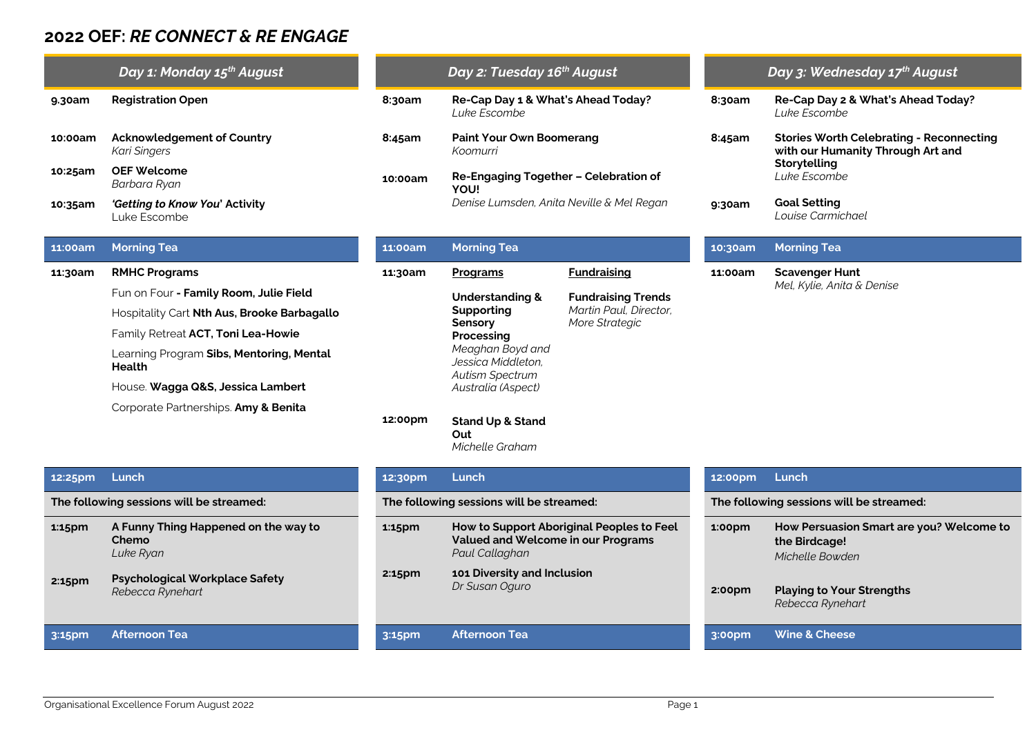## **2022 OEF:** *RE CONNECT & RE ENGAGE*

|         | Day 1: Monday 15 <sup>th</sup> August                     |         | Day 2: Tuesday 16th August                                        |                           |                                     | Day 3: Wed                          |
|---------|-----------------------------------------------------------|---------|-------------------------------------------------------------------|---------------------------|-------------------------------------|-------------------------------------|
| 9.30am  | <b>Registration Open</b>                                  | 8:30am  | Re-Cap Day 1 & What's Ahead Today?<br>Luke Escombe                | 8:30am                    | <b>Re-Cap Day</b><br>Luke Escomb    |                                     |
| 10:00am | <b>Acknowledgement of Country</b><br>Kari Singers         | 8:45am  | <b>Paint Your Own Boomerang</b><br>Koomurri                       | 8:45am                    | <b>Stories Wort</b><br>with our Hur |                                     |
| 10:25am | <b>OEF Welcome</b><br>Barbara Ryan                        | 10:00am | Re-Engaging Together - Celebration of<br>YOU!                     |                           | <b>Storytelling</b><br>Luke Escomb  |                                     |
| 10:35am | 'Getting to Know You' Activity<br>Luke Escombe            |         | Denise Lumsden, Anita Neville & Mel Regan<br><b>Morning Tea</b>   |                           | 9:30am                              | <b>Goal Setting</b><br>Louise Carmi |
| 11:00am | <b>Morning Tea</b>                                        | 11:00am |                                                                   |                           | 10:30am                             | <b>Morning Tea</b>                  |
| 11:30am | <b>RMHC Programs</b>                                      | 11:30am | <b>Programs</b>                                                   | <b>Fundraising</b>        | 11:00am                             | Scavenger H<br>Mel, Kylie, An       |
|         | Fun on Four - Family Room, Julie Field                    |         | <b>Understanding &amp;</b><br>Supporting<br>Sensory<br>Processing | <b>Fundraising Trends</b> |                                     |                                     |
|         | Hospitality Cart <b>Nth Aus, Brooke Barbagallo</b>        |         |                                                                   | Martin Paul, Director,    |                                     |                                     |
|         | Family Retreat ACT, Toni Lea-Howie                        |         |                                                                   | More Strategic            |                                     |                                     |
|         | Learning Program Sibs, Mentoring, Mental<br><b>Health</b> |         | Meaghan Boyd and<br>Jessica Middleton.<br><b>Autism Spectrum</b>  |                           |                                     |                                     |
|         |                                                           |         |                                                                   |                           |                                     |                                     |

House. **Wagga Q&S, Jessica Lambert**

Corporate Partnerships. **Amy & Benita** 

- *Luke Escombe*
- **8:45am Paint Your Own Boomerang** *Koomurri*
- **10:00am Re-Engaging Together – Celebration of YOU!** *Denise Lumsden, Anita Neville & Mel Regan*

#### **11:30am Programs Fundraising 11:00am Scavenger Hunt 12:00pm Understanding & Supporting Sensory Processing** *Meaghan Boyd and Jessica Middleton, Autism Spectrum Australia (Aspect)* **Stand Up & Stand Out Fundraising Trends** *Martin Paul, Director, More Strategic*

### *Day 1: Monday 15th August Day 2: Tuesday 16th August Day 3: Wednesday 17th August*

- **8:30am Re-Cap Day 2 & What's Ahead Today?** *Luke Escombe*
- **8:45am Stories Worth Celebrating - Reconnecting with our Humanity Through Art and Storytelling** *Luke Escombe*
- **9:30am Goal Setting**  *Louise Carmichael*

# *Mel, Kylie, Anita & Denise*

| 12:25pm                                  | Lunch                                                      | 12:30pm   | Lunch                                                                                                    | 12:00pm            | Lunch                                                                        |  |  |
|------------------------------------------|------------------------------------------------------------|-----------|----------------------------------------------------------------------------------------------------------|--------------------|------------------------------------------------------------------------------|--|--|
| The following sessions will be streamed: |                                                            |           | The following sessions will be streamed:                                                                 |                    | The following sessions will be streamed:                                     |  |  |
| $1:15$ pm                                | A Funny Thing Happened on the way to<br>Chemo<br>Luke Ryan | $1:15$ pm | How to Support Aboriginal Peoples to Feel<br><b>Valued and Welcome in our Programs</b><br>Paul Callaghan | 1:00 <sub>pm</sub> | How Persuasion Smart are you? Welcome to<br>the Birdcage!<br>Michelle Bowden |  |  |
| 2:15pm                                   | <b>Psychological Workplace Safety</b><br>Rebecca Rynehart  | 2:15pm    | 101 Diversity and Inclusion<br>Dr Susan Oguro                                                            | 2:00pm             | <b>Playing to Your Strengths</b><br>Rebecca Rynehart                         |  |  |
| $3:15$ pm                                | 'Afternoon Tea .                                           | $3:15$ pm | <b>Afternoon Tea</b>                                                                                     | 3:00 <sub>pm</sub> | Wine & Cheese                                                                |  |  |

*Michelle Graham*